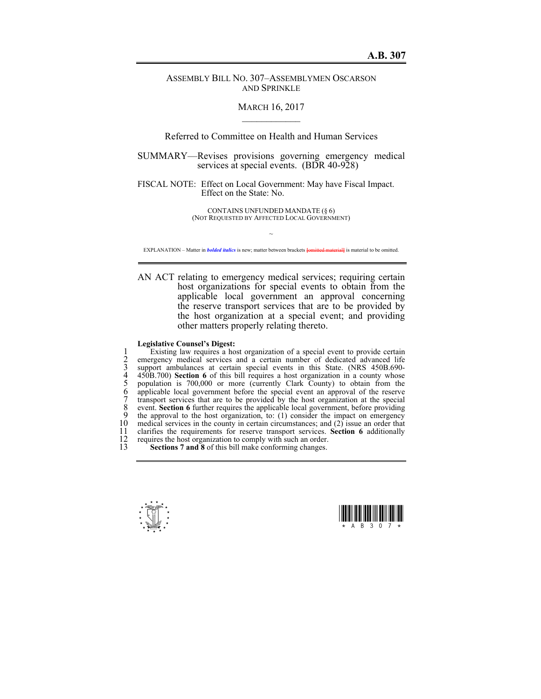## ASSEMBLY BILL NO. 307–ASSEMBLYMEN OSCARSON AND SPRINKLE

## MARCH 16, 2017  $\mathcal{L}_\text{max}$

Referred to Committee on Health and Human Services

SUMMARY—Revises provisions governing emergency medical services at special events. (BDR 40-928)

FISCAL NOTE: Effect on Local Government: May have Fiscal Impact. Effect on the State: No.

> CONTAINS UNFUNDED MANDATE (§ 6) (NOT REQUESTED BY AFFECTED LOCAL GOVERNMENT)

 $\sim$ EXPLANATION – Matter in *bolded italics* is new; matter between brackets **[**omitted material**]** is material to be omitted.

AN ACT relating to emergency medical services; requiring certain host organizations for special events to obtain from the applicable local government an approval concerning the reserve transport services that are to be provided by the host organization at a special event; and providing other matters properly relating thereto.

## **Legislative Counsel's Digest:**

Existing law requires a host organization of a special event to provide certain<br>
2 emergency medical services and a certain number of dedicated advanced life<br>
3 support ambulances at certain special events in this State. ( emergency medical services and a certain number of dedicated advanced life support ambulances at certain special events in this State. (NRS 450B.690-4 450B.700) **Section 6** of this bill requires a host organization in a county whose population is 700,000 or more (currently Clark County) to obtain from the 6 applicable local government before the special event an approval of the reserve 7 transport services that are to be provided by the host organization at the special 8 event. **Section 6** further requires the applicable local government, before providing the approval to the host organization, to: (1) consider the impact on emergency 9 the approval to the host organization, to: (1) consider the impact on emergency in edical services in the county in certain circumstances; and (2) issue an order that 10 medical services in the county in certain circumstances; and (2) issue an order that 11 clarifies the requirements for reserve transport services. **Section 6** additionally 11 clarifies the requirements for reserve transport services. **Section 6** additionally 12 requires the host organization to comply with such an order.<br>13 **Sections 7 and 8** of this bill make conforming changes.

**Sections 7 and 8** of this bill make conforming changes.



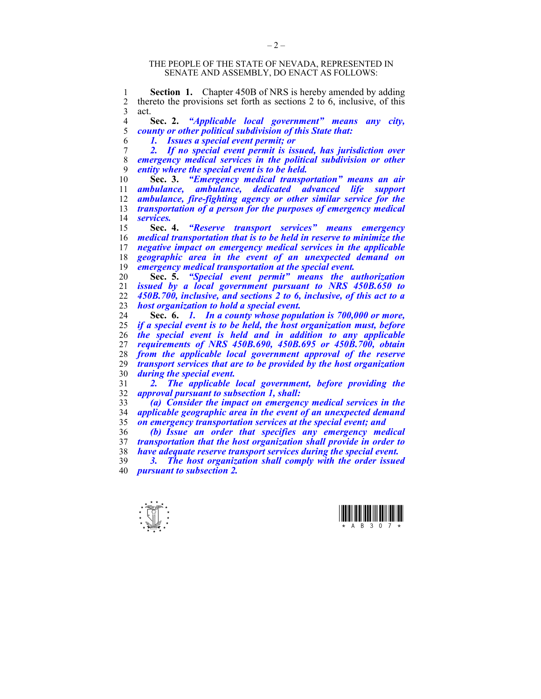## THE PEOPLE OF THE STATE OF NEVADA, REPRESENTED IN SENATE AND ASSEMBLY, DO ENACT AS FOLLOWS:

1 **Section 1.** Chapter 450B of NRS is hereby amended by adding<br>2 thereto the provisions set forth as sections 2 to 6 inclusive of this 2 thereto the provisions set forth as sections 2 to 6, inclusive, of this act. act.

**Sec. 2.** *"Applicable local government" means any city, county or other political subdivision of this State that:* 

*1. Issues a special event permit; or* 

*2. If no special event permit is issued, has jurisdiction over emergency medical services in the political subdivision or other entity where the special event is to be held.* 

**Sec. 3.** *"Emergency medical transportation" means an air ambulance, ambulance, dedicated advanced life support ambulance, fire-fighting agency or other similar service for the transportation of a person for the purposes of emergency medical services.*

**Sec. 4.** *"Reserve transport services" means emergency medical transportation that is to be held in reserve to minimize the negative impact on emergency medical services in the applicable geographic area in the event of an unexpected demand on emergency medical transportation at the special event.* 

**Sec. 5.** *"Special event permit" means the authorization*  issued by a *local government pursuant to NRS 450B.650 to 450B.700, inclusive, and sections 2 to 6, inclusive, of this act to a host organization to hold a special event.* 

**Sec. 6.** *1. In a county whose population is 700,000 or more, if a special event is to be held, the host organization must, before the special event is held and in addition to any applicable requirements of NRS 450B.690, 450B.695 or 450B.700, obtain from the applicable local government approval of the reserve transport services that are to be provided by the host organization during the special event.* 

*2. The applicable local government, before providing the approval pursuant to subsection 1, shall:* 

*(a) Consider the impact on emergency medical services in the applicable geographic area in the event of an unexpected demand on emergency transportation services at the special event; and* 

*(b) Issue an order that specifies any emergency medical transportation that the host organization shall provide in order to have adequate reserve transport services during the special event.* 

*3. The host organization shall comply with the order issued pursuant to subsection 2.*